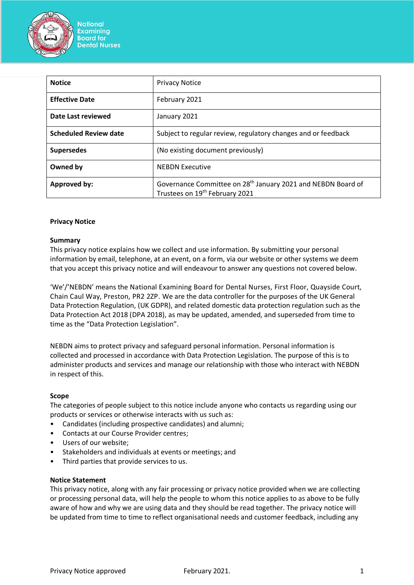

| <b>Notice</b>                | <b>Privacy Notice</b>                                                                                                  |
|------------------------------|------------------------------------------------------------------------------------------------------------------------|
| <b>Effective Date</b>        | February 2021                                                                                                          |
| Date Last reviewed           | January 2021                                                                                                           |
| <b>Scheduled Review date</b> | Subject to regular review, regulatory changes and or feedback                                                          |
| <b>Supersedes</b>            | (No existing document previously)                                                                                      |
| Owned by                     | <b>NEBDN Executive</b>                                                                                                 |
| <b>Approved by:</b>          | Governance Committee on 28 <sup>th</sup> January 2021 and NEBDN Board of<br>Trustees on 19 <sup>th</sup> February 2021 |

#### **Privacy Notice**

#### **Summary**

This privacy notice explains how we collect and use information. By submitting your personal information by email, telephone, at an event, on a form, via our website or other systems we deem that you accept this privacy notice and will endeavour to answer any questions not covered below.

'We'/'NEBDN' means the National Examining Board for Dental Nurses, First Floor, Quayside Court, Chain Caul Way, Preston, PR2 2ZP. We are the data controller for the purposes of the UK General Data Protection Regulation, (UK GDPR), and related domestic data protection regulation such as the Data Protection Act 2018 (DPA 2018), as may be updated, amended, and superseded from time to time as the "Data Protection Legislation".

NEBDN aims to protect privacy and safeguard personal information. Personal information is collected and processed in accordance with Data Protection Legislation. The purpose of this is to administer products and services and manage our relationship with those who interact with NEBDN in respect of this.

#### **Scope**

The categories of people subject to this notice include anyone who contacts us regarding using our products or services or otherwise interacts with us such as:

- Candidates (including prospective candidates) and alumni;
- Contacts at our Course Provider centres;
- Users of our website;
- Stakeholders and individuals at events or meetings; and
- Third parties that provide services to us.

#### **Notice Statement**

This privacy notice, along with any fair processing or privacy notice provided when we are collecting or processing personal data, will help the people to whom this notice applies to as above to be fully aware of how and why we are using data and they should be read together. The privacy notice will be updated from time to time to reflect organisational needs and customer feedback, including any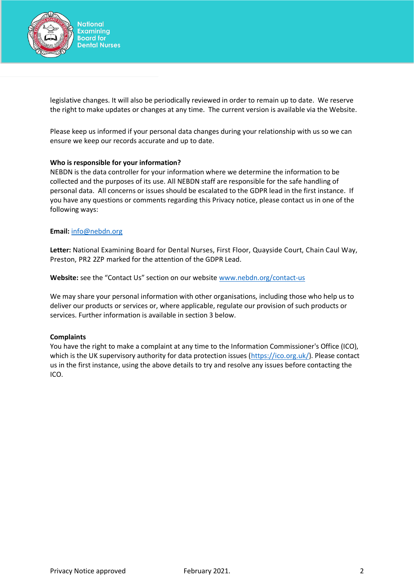

legislative changes. It will also be periodically reviewed in order to remain up to date. We reserve the right to make updates or changes at any time. The current version is available via the Website.

Please keep us informed if your personal data changes during your relationship with us so we can ensure we keep our records accurate and up to date.

#### **Who is responsible for your information?**

NEBDN is the data controller for your information where we determine the information to be collected and the purposes of its use. All NEBDN staff are responsible for the safe handling of personal data. All concerns or issues should be escalated to the GDPR lead in the first instance. If you have any questions or comments regarding this Privacy notice, please contact us in one of the following ways:

#### **Email:** [info@nebdn.org](mailto:info@nebdn.org)

**Letter:** National Examining Board for Dental Nurses, First Floor, Quayside Court, Chain Caul Way, Preston, PR2 2ZP marked for the attention of the GDPR Lead.

**Website:** see the "Contact Us" section on our website [www.nebdn.org/contact-us](http://www.nebdn.org/)

We may share your personal information with other organisations, including those who help us to deliver our products or services or, where applicable, regulate our provision of such products or services. Further information is available in section 3 below.

#### **Complaints**

You have the right to make a complaint at any time to the Information Commissioner's Office (ICO), which is the UK supervisory authority for data protection issues [\(https://ico.org.uk/](https://ico.org.uk/)). Please contact us in the first instance, using the above details to try and resolve any issues before contacting the ICO.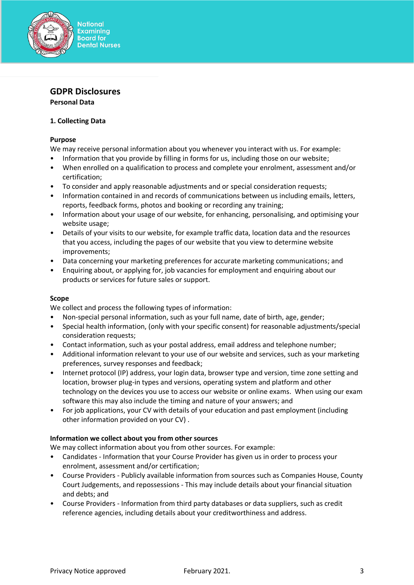

# **GDPR Disclosures**

**Personal Data**

### **1. Collecting Data**

### **Purpose**

We may receive personal information about you whenever you interact with us. For example:

- Information that you provide by filling in forms for us, including those on our website;
- When enrolled on a qualification to process and complete your enrolment, assessment and/or certification;
- To consider and apply reasonable adjustments and or special consideration requests;
- Information contained in and records of communications between us including emails, letters, reports, feedback forms, photos and booking or recording any training;
- Information about your usage of our website, for enhancing, personalising, and optimising your website usage;
- Details of your visits to our website, for example traffic data, location data and the resources that you access, including the pages of our website that you view to determine website improvements;
- Data concerning your marketing preferences for accurate marketing communications; and
- Enquiring about, or applying for, job vacancies for employment and enquiring about our products or services for future sales or support.

## **Scope**

We collect and process the following types of information:

- Non-special personal information, such as your full name, date of birth, age, gender;
- Special health information, (only with your specific consent) for reasonable adjustments/special consideration requests;
- Contact information, such as your postal address, email address and telephone number;
- Additional information relevant to your use of our website and services, such as your marketing preferences, survey responses and feedback;
- Internet protocol (IP) address, your login data, browser type and version, time zone setting and location, browser plug-in types and versions, operating system and platform and other technology on the devices you use to access our website or online exams. When using our exam software this may also include the timing and nature of your answers; and
- For job applications, your CV with details of your education and past employment (including other information provided on your CV) .

#### **Information we collect about you from other sources**

We may collect information about you from other sources. For example:

- Candidates Information that your Course Provider has given us in order to process your enrolment, assessment and/or certification;
- Course Providers Publicly available information from sources such as Companies House, County Court Judgements, and repossessions - This may include details about your financial situation and debts; and
- Course Providers Information from third party databases or data suppliers, such as credit reference agencies, including details about your creditworthiness and address.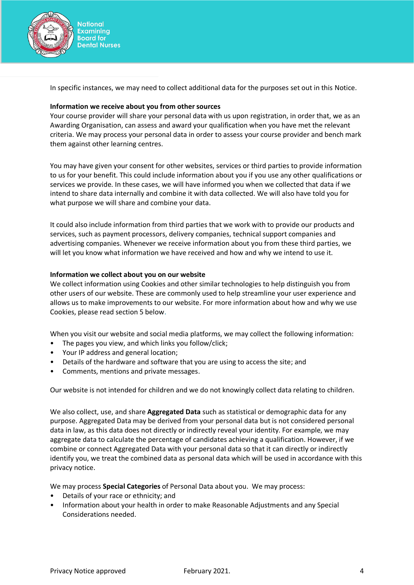

In specific instances, we may need to collect additional data for the purposes set out in this Notice.

### **Information we receive about you from other sources**

Your course provider will share your personal data with us upon registration, in order that, we as an Awarding Organisation, can assess and award your qualification when you have met the relevant criteria. We may process your personal data in order to assess your course provider and bench mark them against other learning centres.

You may have given your consent for other websites, services or third parties to provide information to us for your benefit. This could include information about you if you use any other qualifications or services we provide. In these cases, we will have informed you when we collected that data if we intend to share data internally and combine it with data collected. We will also have told you for what purpose we will share and combine your data.

It could also include information from third parties that we work with to provide our products and services, such as payment processors, delivery companies, technical support companies and advertising companies. Whenever we receive information about you from these third parties, we will let you know what information we have received and how and why we intend to use it.

#### **Information we collect about you on our website**

We collect information using Cookies and other similar technologies to help distinguish you from other users of our website. These are commonly used to help streamline your user experience and allows us to make improvements to our website. For more information about how and why we use Cookies, please read section 5 below.

When you visit our website and social media platforms, we may collect the following information:

- The pages you view, and which links you follow/click;
- Your IP address and general location;
- Details of the hardware and software that you are using to access the site; and
- Comments, mentions and private messages.

Our website is not intended for children and we do not knowingly collect data relating to children.

We also collect, use, and share **Aggregated Data** such as statistical or demographic data for any purpose. Aggregated Data may be derived from your personal data but is not considered personal data in law, as this data does not directly or indirectly reveal your identity. For example, we may aggregate data to calculate the percentage of candidates achieving a qualification. However, if we combine or connect Aggregated Data with your personal data so that it can directly or indirectly identify you, we treat the combined data as personal data which will be used in accordance with this privacy notice.

We may process **Special Categories** of Personal Data about you. We may process:

- Details of your race or ethnicity; and
- Information about your health in order to make Reasonable Adjustments and any Special Considerations needed.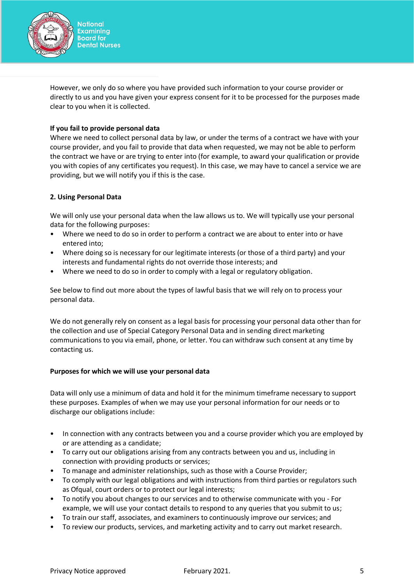

However, we only do so where you have provided such information to your course provider or directly to us and you have given your express consent for it to be processed for the purposes made clear to you when it is collected.

### **If you fail to provide personal data**

Where we need to collect personal data by law, or under the terms of a contract we have with your course provider, and you fail to provide that data when requested, we may not be able to perform the contract we have or are trying to enter into (for example, to award your qualification or provide you with copies of any certificates you request). In this case, we may have to cancel a service we are providing, but we will notify you if this is the case.

### **2. Using Personal Data**

We will only use your personal data when the law allows us to. We will typically use your personal data for the following purposes:

- Where we need to do so in order to perform a contract we are about to enter into or have entered into;
- Where doing so is necessary for our legitimate interests (or those of a third party) and your interests and fundamental rights do not override those interests; and
- Where we need to do so in order to comply with a legal or regulatory obligation.

See below to find out more about the types of lawful basis that we will rely on to process your personal data.

We do not generally rely on consent as a legal basis for processing your personal data other than for the collection and use of Special Category Personal Data and in sending direct marketing communications to you via email, phone, or letter. You can withdraw such consent at any time by contacting us.

#### **Purposes for which we will use your personal data**

Data will only use a minimum of data and hold it for the minimum timeframe necessary to support these purposes. Examples of when we may use your personal information for our needs or to discharge our obligations include:

- In connection with any contracts between you and a course provider which you are employed by or are attending as a candidate;
- To carry out our obligations arising from any contracts between you and us, including in connection with providing products or services;
- To manage and administer relationships, such as those with a Course Provider;
- To comply with our legal obligations and with instructions from third parties or regulators such as Ofqual, court orders or to protect our legal interests;
- To notify you about changes to our services and to otherwise communicate with you For example, we will use your contact details to respond to any queries that you submit to us;
- To train our staff, associates, and examiners to continuously improve our services; and
- To review our products, services, and marketing activity and to carry out market research.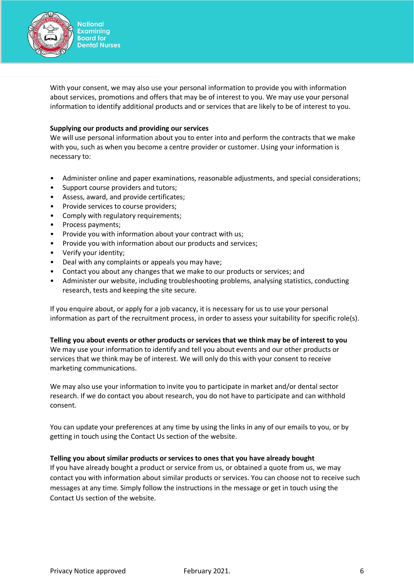

With your consent, we may also use your personal information to provide you with information about services, promotions and offers that may be of interest to you. We may use your personal information to identify additional products and or services that are likely to be of interest to you.

### **Supplying our products and providing our services**

We will use personal information about you to enter into and perform the contracts that we make with you, such as when you become a centre provider or customer. Using your information is necessary to:

- Administer online and paper examinations, reasonable adjustments, and special considerations;
- Support course providers and tutors;
- Assess, award, and provide certificates;
- Provide services to course providers;
- Comply with regulatory requirements;
- Process payments;
- Provide you with information about your contract with us;
- Provide you with information about our products and services;
- Verify your identity;
- Deal with any complaints or appeals you may have;
- Contact you about any changes that we make to our products or services; and
- Administer our website, including troubleshooting problems, analysing statistics, conducting research, tests and keeping the site secure.

If you enquire about, or apply for a job vacancy, it is necessary for us to use your personal information as part of the recruitment process, in order to assess your suitability for specific role(s).

#### **Telling you about events or other products or services that we think may be of interest to you**

We may use your information to identify and tell you about events and our other products or services that we think may be of interest. We will only do this with your consent to receive marketing communications.

We may also use your information to invite you to participate in market and/or dental sector research. If we do contact you about research, you do not have to participate and can withhold consent.

You can update your preferences at any time by using the links in any of our emails to you, or by getting in touch using the Contact Us section of the website.

#### **Telling you about similar products or services to ones that you have already bought**

If you have already bought a product or service from us, or obtained a quote from us, we may contact you with information about similar products or services. You can choose not to receive such messages at any time. Simply follow the instructions in the message or get in touch using the Contact Us section of the website.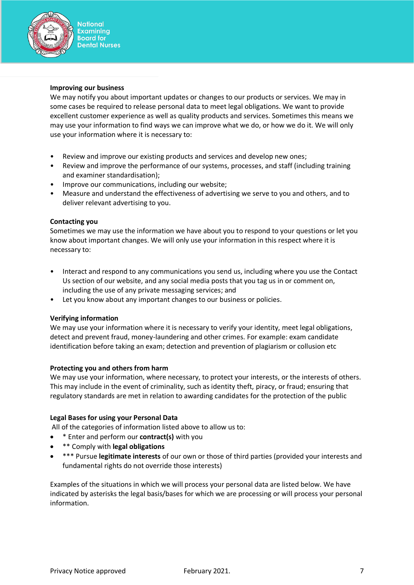

#### **Improving our business**

We may notify you about important updates or changes to our products or services. We may in some cases be required to release personal data to meet legal obligations. We want to provide excellent customer experience as well as quality products and services. Sometimes this means we may use your information to find ways we can improve what we do, or how we do it. We will only use your information where it is necessary to:

- Review and improve our existing products and services and develop new ones;
- Review and improve the performance of our systems, processes, and staff (including training and examiner standardisation);
- Improve our communications, including our website;
- Measure and understand the effectiveness of advertising we serve to you and others, and to deliver relevant advertising to you.

#### **Contacting you**

Sometimes we may use the information we have about you to respond to your questions or let you know about important changes. We will only use your information in this respect where it is necessary to:

- Interact and respond to any communications you send us, including where you use the Contact Us section of our website, and any social media posts that you tag us in or comment on, including the use of any private messaging services; and
- Let you know about any important changes to our business or policies.

#### **Verifying information**

We may use your information where it is necessary to verify your identity, meet legal obligations, detect and prevent fraud, money-laundering and other crimes. For example: exam candidate identification before taking an exam; detection and prevention of plagiarism or collusion etc

#### **Protecting you and others from harm**

We may use your information, where necessary, to protect your interests, or the interests of others. This may include in the event of criminality, such as identity theft, piracy, or fraud; ensuring that regulatory standards are met in relation to awarding candidates for the protection of the public

## **Legal Bases for using your Personal Data**

All of the categories of information listed above to allow us to:

- \* Enter and perform our **contract(s)** with you
- \*\* Comply with **legal obligations**
- \*\*\* Pursue **legitimate interests** of our own or those of third parties (provided your interests and fundamental rights do not override those interests)

Examples of the situations in which we will process your personal data are listed below. We have indicated by asterisks the legal basis/bases for which we are processing or will process your personal information.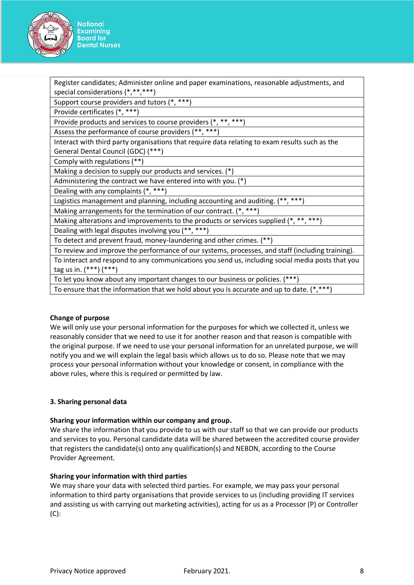

Register candidates; Administer online and paper examinations, reasonable adjustments, and special considerations (\*,\*\*,\*\*\*)

Support course providers and tutors (\*, \*\*\*)

Provide certificates (\*, \*\*\*)

Provide products and services to course providers (\*, \*\*, \*\*\*)

Assess the performance of course providers (\*\*, \*\*\*)

Interact with third party organisations that require data relating to exam results such as the General Dental Council (GDC) (\*\*\*)

Comply with regulations (\*\*)

Making a decision to supply our products and services. (\*)

Administering the contract we have entered into with you. (\*)

Dealing with any complaints (\*, \*\*\*)

Logistics management and planning, including accounting and auditing. (\*\*, \*\*\*)

Making arrangements for the termination of our contract. (\*, \*\*\*)

Making alterations and improvements to the products or services supplied  $(*, **, **")$ 

Dealing with legal disputes involving you (\*\*, \*\*\*)

To detect and prevent fraud, money-laundering and other crimes. (\*\*)

To review and improve the performance of our systems, processes, and staff (including training). To interact and respond to any communications you send us, including social media posts that you tag us in. (\*\*\*) (\*\*\*)

To let you know about any important changes to our business or policies. (\*\*\*)

To ensure that the information that we hold about you is accurate and up to date.  $(*, ***)$ 

## **Change of purpose**

We will only use your personal information for the purposes for which we collected it, unless we reasonably consider that we need to use it for another reason and that reason is compatible with the original purpose. If we need to use your personal information for an unrelated purpose, we will notify you and we will explain the legal basis which allows us to do so. Please note that we may process your personal information without your knowledge or consent, in compliance with the above rules, where this is required or permitted by law.

## **3. Sharing personal data**

## **Sharing your information within our company and group.**

We share the information that you provide to us with our staff so that we can provide our products and services to you. Personal candidate data will be shared between the accredited course provider that registers the candidate(s) onto any qualification(s) and NEBDN, according to the Course Provider Agreement.

## **Sharing your information with third parties**

We may share your data with selected third parties. For example, we may pass your personal information to third party organisations that provide services to us (including providing IT services and assisting us with carrying out marketing activities), acting for us as a Processor (P) or Controller (C):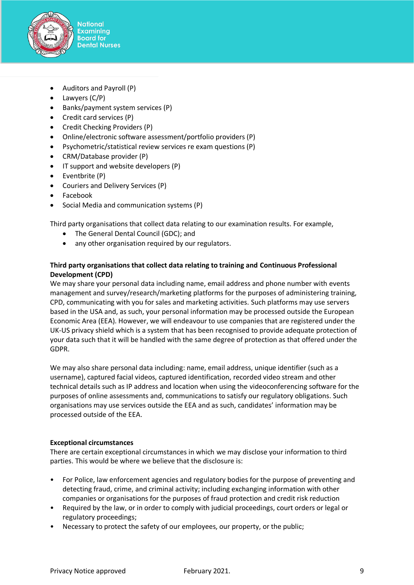

- Auditors and Payroll (P)
- Lawyers (C/P)
- Banks/payment system services (P)
- Credit card services (P)
- Credit Checking Providers (P)
- Online/electronic software assessment/portfolio providers (P)
- Psychometric/statistical review services re exam questions (P)
- CRM/Database provider (P)
- IT support and website developers (P)
- Eventbrite (P)
- Couriers and Delivery Services (P)
- Facebook
- Social Media and communication systems (P)

Third party organisations that collect data relating to our examination results. For example,

- The General Dental Council (GDC); and
- any other organisation required by our regulators.

# **Third party organisations that collect data relating to training and Continuous Professional Development (CPD)**

We may share your personal data including name, email address and phone number with events management and survey/research/marketing platforms for the purposes of administering training, CPD, communicating with you for sales and marketing activities. Such platforms may use servers based in the USA and, as such, your personal information may be processed outside the European Economic Area (EEA). However, we will endeavour to use companies that are registered under the UK-US privacy shield which is a system that has been recognised to provide adequate protection of your data such that it will be handled with the same degree of protection as that offered under the GDPR.

We may also share personal data including: name, email address, unique identifier (such as a username), captured facial videos, captured identification, recorded video stream and other technical details such as IP address and location when using the videoconferencing software for the purposes of online assessments and, communications to satisfy our regulatory obligations. Such organisations may use services outside the EEA and as such, candidates' information may be processed outside of the EEA.

## **Exceptional circumstances**

There are certain exceptional circumstances in which we may disclose your information to third parties. This would be where we believe that the disclosure is:

- For Police, law enforcement agencies and regulatory bodies for the purpose of preventing and detecting fraud, crime, and criminal activity; including exchanging information with other companies or organisations for the purposes of fraud protection and credit risk reduction
- Required by the law, or in order to comply with judicial proceedings, court orders or legal or regulatory proceedings;
- Necessary to protect the safety of our employees, our property, or the public;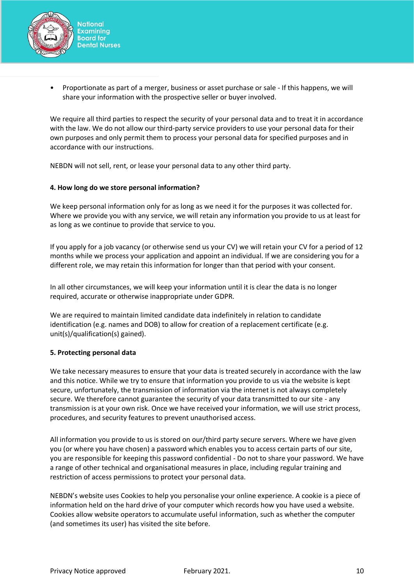

• Proportionate as part of a merger, business or asset purchase or sale - If this happens, we will share your information with the prospective seller or buyer involved.

We require all third parties to respect the security of your personal data and to treat it in accordance with the law. We do not allow our third-party service providers to use your personal data for their own purposes and only permit them to process your personal data for specified purposes and in accordance with our instructions.

NEBDN will not sell, rent, or lease your personal data to any other third party.

### **4. How long do we store personal information?**

We keep personal information only for as long as we need it for the purposes it was collected for. Where we provide you with any service, we will retain any information you provide to us at least for as long as we continue to provide that service to you.

If you apply for a job vacancy (or otherwise send us your CV) we will retain your CV for a period of 12 months while we process your application and appoint an individual. If we are considering you for a different role, we may retain this information for longer than that period with your consent.

In all other circumstances, we will keep your information until it is clear the data is no longer required, accurate or otherwise inappropriate under GDPR.

We are required to maintain limited candidate data indefinitely in relation to candidate identification (e.g. names and DOB) to allow for creation of a replacement certificate (e.g. unit(s)/qualification(s) gained).

#### **5. Protecting personal data**

We take necessary measures to ensure that your data is treated securely in accordance with the law and this notice. While we try to ensure that information you provide to us via the website is kept secure, unfortunately, the transmission of information via the internet is not always completely secure. We therefore cannot guarantee the security of your data transmitted to our site - any transmission is at your own risk. Once we have received your information, we will use strict process, procedures, and security features to prevent unauthorised access.

All information you provide to us is stored on our/third party secure servers. Where we have given you (or where you have chosen) a password which enables you to access certain parts of our site, you are responsible for keeping this password confidential - Do not to share your password. We have a range of other technical and organisational measures in place, including regular training and restriction of access permissions to protect your personal data.

NEBDN's website uses Cookies to help you personalise your online experience. A cookie is a piece of information held on the hard drive of your computer which records how you have used a website. Cookies allow website operators to accumulate useful information, such as whether the computer (and sometimes its user) has visited the site before.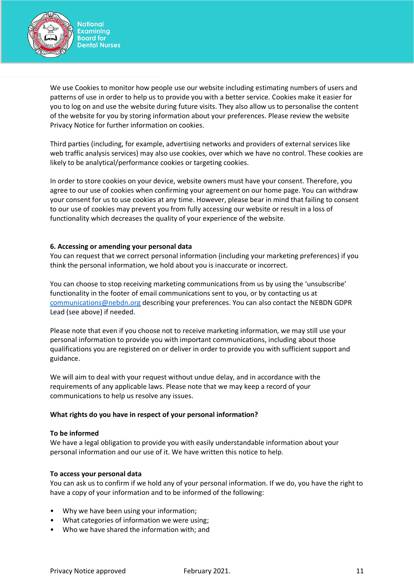

We use Cookies to monitor how people use our website including estimating numbers of users and patterns of use in order to help us to provide you with a better service. Cookies make it easier for you to log on and use the website during future visits. They also allow us to personalise the content of the website for you by storing information about your preferences. Please review the website Privacy Notice for further information on cookies.

Third parties (including, for example, advertising networks and providers of external services like web traffic analysis services) may also use cookies, over which we have no control. These cookies are likely to be analytical/performance cookies or targeting cookies.

In order to store cookies on your device, website owners must have your consent. Therefore, you agree to our use of cookies when confirming your agreement on our home page. You can withdraw your consent for us to use cookies at any time. However, please bear in mind that failing to consent to our use of cookies may prevent you from fully accessing our website or result in a loss of functionality which decreases the quality of your experience of the website.

### **6. Accessing or amending your personal data**

You can request that we correct personal information (including your marketing preferences) if you think the personal information, we hold about you is inaccurate or incorrect.

You can choose to stop receiving marketing communications from us by using the 'unsubscribe' functionality in the footer of email communications sent to you, or by contacting us at [communications@nebdn.org](mailto:communications@nebdn.org) describing your preferences. You can also contact the NEBDN GDPR Lead (see above) if needed.

Please note that even if you choose not to receive marketing information, we may still use your personal information to provide you with important communications, including about those qualifications you are registered on or deliver in order to provide you with sufficient support and guidance.

We will aim to deal with your request without undue delay, and in accordance with the requirements of any applicable laws. Please note that we may keep a record of your communications to help us resolve any issues.

#### **What rights do you have in respect of your personal information?**

#### **To be informed**

We have a legal obligation to provide you with easily understandable information about your personal information and our use of it. We have written this notice to help.

#### **To access your personal data**

You can ask us to confirm if we hold any of your personal information. If we do, you have the right to have a copy of your information and to be informed of the following:

- Why we have been using your information;
- What categories of information we were using;
- Who we have shared the information with; and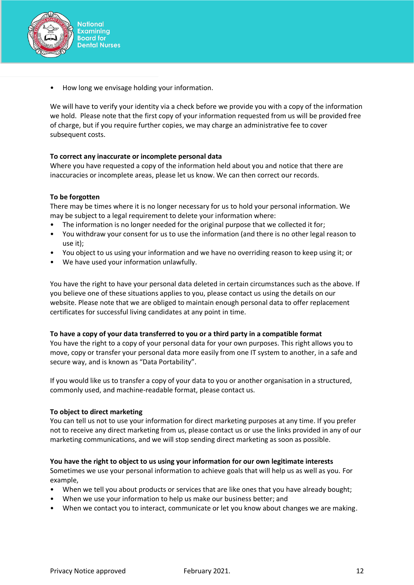

• How long we envisage holding your information.

We will have to verify your identity via a check before we provide you with a copy of the information we hold. Please note that the first copy of your information requested from us will be provided free of charge, but if you require further copies, we may charge an administrative fee to cover subsequent costs.

## **To correct any inaccurate or incomplete personal data**

Where you have requested a copy of the information held about you and notice that there are inaccuracies or incomplete areas, please let us know. We can then correct our records.

## **To be forgotten**

There may be times where it is no longer necessary for us to hold your personal information. We may be subject to a legal requirement to delete your information where:

- The information is no longer needed for the original purpose that we collected it for;
- You withdraw your consent for us to use the information (and there is no other legal reason to use it);
- You object to us using your information and we have no overriding reason to keep using it; or
- We have used your information unlawfully.

You have the right to have your personal data deleted in certain circumstances such as the above. If you believe one of these situations applies to you, please contact us using the details on our website. Please note that we are obliged to maintain enough personal data to offer replacement certificates for successful living candidates at any point in time.

## **To have a copy of your data transferred to you or a third party in a compatible format**

You have the right to a copy of your personal data for your own purposes. This right allows you to move, copy or transfer your personal data more easily from one IT system to another, in a safe and secure way, and is known as "Data Portability".

If you would like us to transfer a copy of your data to you or another organisation in a structured, commonly used, and machine-readable format, please contact us.

## **To object to direct marketing**

You can tell us not to use your information for direct marketing purposes at any time. If you prefer not to receive any direct marketing from us, please contact us or use the links provided in any of our marketing communications, and we will stop sending direct marketing as soon as possible.

## **You have the right to object to us using your information for our own legitimate interests**

Sometimes we use your personal information to achieve goals that will help us as well as you. For example,

- When we tell you about products or services that are like ones that you have already bought;
- When we use your information to help us make our business better; and
- When we contact you to interact, communicate or let you know about changes we are making.